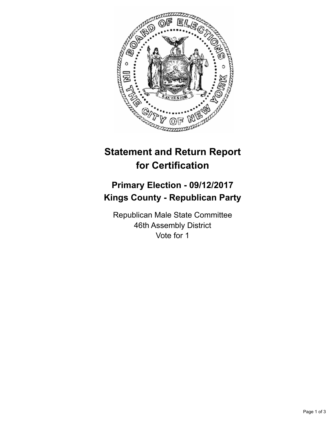

## **Statement and Return Report for Certification**

## **Primary Election - 09/12/2017 Kings County - Republican Party**

Republican Male State Committee 46th Assembly District Vote for 1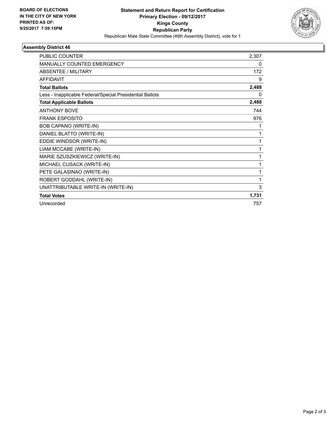

## **Assembly District 46**

| PUBLIC COUNTER                                           | 2,307 |
|----------------------------------------------------------|-------|
| <b>MANUALLY COUNTED EMERGENCY</b>                        | 0     |
| <b>ABSENTEE / MILITARY</b>                               | 172   |
| <b>AFFIDAVIT</b>                                         | 9     |
| <b>Total Ballots</b>                                     | 2,488 |
| Less - Inapplicable Federal/Special Presidential Ballots | 0     |
| <b>Total Applicable Ballots</b>                          | 2,488 |
| <b>ANTHONY BOVE</b>                                      | 744   |
| <b>FRANK ESPOSITO</b>                                    | 976   |
| BOB CAPANO (WRITE-IN)                                    | 1     |
| DANIEL BLATTO (WRITE-IN)                                 | 1     |
| EDDIE WINDSOR (WRITE-IN)                                 | 1     |
| LIAM MCCABE (WRITE-IN)                                   | 1     |
| MARIE SZUSZKIEWICZ (WRITE-IN)                            | 1     |
| MICHAEL CUSACK (WRITE-IN)                                | 1     |
| PETE GALASINAO (WRITE-IN)                                | 1     |
| ROBERT GODDAHL (WRITE-IN)                                | 1     |
| UNATTRIBUTABLE WRITE-IN (WRITE-IN)                       | 3     |
| <b>Total Votes</b>                                       | 1,731 |
| Unrecorded                                               | 757   |